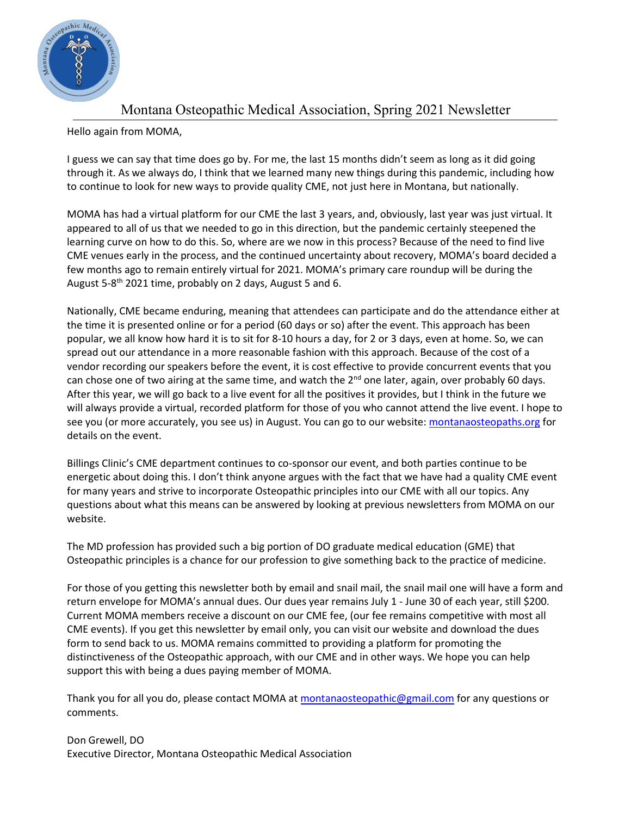

## Montana Osteopathic Medical Association, Spring 2021 Newsletter

Hello again from MOMA,

I guess we can say that time does go by. For me, the last 15 months didn't seem as long as it did going through it. As we always do, I think that we learned many new things during this pandemic, including how to continue to look for new ways to provide quality CME, not just here in Montana, but nationally.

MOMA has had a virtual platform for our CME the last 3 years, and, obviously, last year was just virtual. It appeared to all of us that we needed to go in this direction, but the pandemic certainly steepened the learning curve on how to do this. So, where are we now in this process? Because of the need to find live CME venues early in the process, and the continued uncertainty about recovery, MOMA's board decided a few months ago to remain entirely virtual for 2021. MOMA's primary care roundup will be during the August 5-8<sup>th</sup> 2021 time, probably on 2 days, August 5 and 6.

Nationally, CME became enduring, meaning that attendees can participate and do the attendance either at the time it is presented online or for a period (60 days or so) after the event. This approach has been popular, we all know how hard it is to sit for 8-10 hours a day, for 2 or 3 days, even at home. So, we can spread out our attendance in a more reasonable fashion with this approach. Because of the cost of a vendor recording our speakers before the event, it is cost effective to provide concurrent events that you can chose one of two airing at the same time, and watch the  $2^{nd}$  one later, again, over probably 60 days. After this year, we will go back to a live event for all the positives it provides, but I think in the future we will always provide a virtual, recorded platform for those of you who cannot attend the live event. I hope to see you (or more accurately, you see us) in August. You can go to our website: [montanaosteopaths.org](http://www.montanaosteopaths.com/) for details on the event.

Billings Clinic's CME department continues to co-sponsor our event, and both parties continue to be energetic about doing this. I don't think anyone argues with the fact that we have had a quality CME event for many years and strive to incorporate Osteopathic principles into our CME with all our topics. Any questions about what this means can be answered by looking at previous newsletters from MOMA on our website.

The MD profession has provided such a big portion of DO graduate medical education (GME) that Osteopathic principles is a chance for our profession to give something back to the practice of medicine.

For those of you getting this newsletter both by email and snail mail, the snail mail one will have a form and return envelope for MOMA's annual dues. Our dues year remains July 1 - June 30 of each year, still \$200. Current MOMA members receive a discount on our CME fee, (our fee remains competitive with most all CME events). If you get this newsletter by email only, you can visit our website and download the dues form to send back to us. MOMA remains committed to providing a platform for promoting the distinctiveness of the Osteopathic approach, with our CME and in other ways. We hope you can help support this with being a dues paying member of MOMA.

Thank you for all you do, please contact MOMA a[t montanaosteopathic@gmail.com](mailto:montanaosteopathic@gmail.com) for any questions or comments.

Don Grewell, DO Executive Director, Montana Osteopathic Medical Association